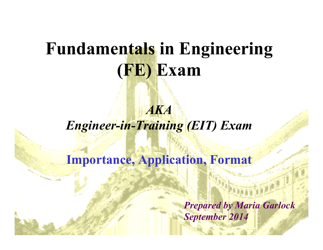## **Fundamentals in Engineering (FE) Exam**

### *AKA Engineer-in-Training (EIT) Exam*

### **Importance, Application, Format**

*Prepared by Maria Garlock September 2014*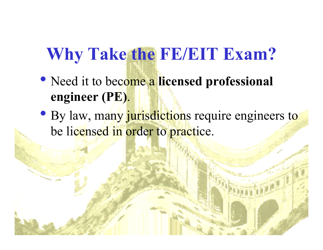# **Why Take the FE/EIT Exam?**

- Need it to become a **licensed professional engineer (PE)**.
- By law, many jurisdictions require engineers to be licensed in order to practice.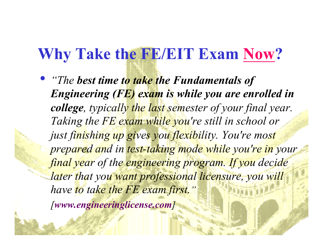### **Why Take the FE/EIT Exam Now?**

• *"The best time to take the Fundamentals of Engineering (FE) exam is while you are enrolled in college, typically the last semester of your final year. Taking the FE exam while you're still in school or just finishing up gives you flexibility. You're most prepared and in test-taking mode while you're in your final year of the engineering program. If you decide later that you want professional licensure, you will have to take the FE exam first." [www.engineeringlicense.com]*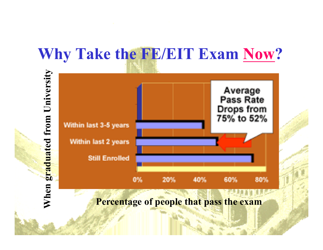### **Why Take the FE/EIT Exam Now?**



#### **Percentage of people that pass the exam**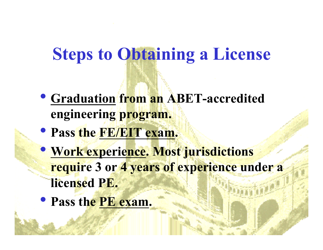### **Steps to Obtaining a License**

- **Graduation from an ABET-accredited engineering program.**
- **Pass the FE/EIT exam.**
- **Work experience. Most jurisdictions require 3 or 4 years of experience under a licensed PE.**
- **Pass the PE exam.**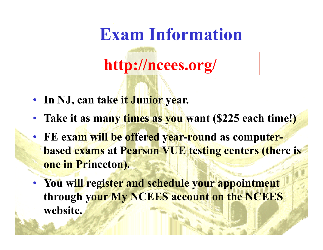## **Exam Information**

## **http://ncees.org/**

- **In NJ, can take it Junior year.**
- **Take it as many times as you want (\$225 each time!)**
- **FE exam will be offered year-round as computerbased exams at Pearson VUE testing centers (there is one in Princeton).**
- **You will register and schedule your appointment through your My NCEES account on the NCEES website.**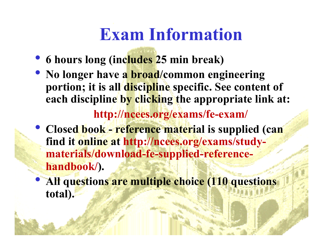# **Exam Information**

- **6 hours long (includes 25 min break)**
- **No longer have a broad/common engineering portion; it is all discipline specific. See content of each discipline by clicking the appropriate link at: http://ncees.org/exams/fe-exam/**
- **Closed book reference material is supplied (can find it online at http://ncees.org/exams/studymaterials/download-fe-supplied-referencehandbook/).**
- **All questions are multiple choice (110 questions total).**